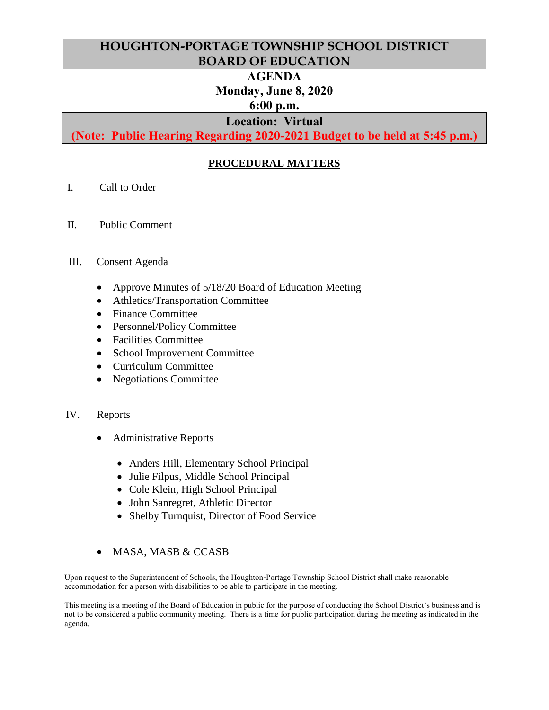## **HOUGHTON-PORTAGE TOWNSHIP SCHOOL DISTRICT BOARD OF EDUCATION**

# **AGENDA**

# **Monday, June 8, 2020**

### **6:00 p.m.**

### **Location: Virtual**

**(Note: Public Hearing Regarding 2020-2021 Budget to be held at 5:45 p.m.)**

### **PROCEDURAL MATTERS**

- I. Call to Order
- II. Public Comment

#### III. Consent Agenda

- Approve Minutes of 5/18/20 Board of Education Meeting
- Athletics/Transportation Committee
- Finance Committee
- Personnel/Policy Committee
- Facilities Committee
- School Improvement Committee
- Curriculum Committee
- Negotiations Committee

#### IV. Reports

- Administrative Reports
	- Anders Hill, Elementary School Principal
	- Julie Filpus, Middle School Principal
	- Cole Klein, High School Principal
	- John Sanregret, Athletic Director
	- Shelby Turnquist, Director of Food Service
- MASA, MASB & CCASB

Upon request to the Superintendent of Schools, the Houghton-Portage Township School District shall make reasonable accommodation for a person with disabilities to be able to participate in the meeting.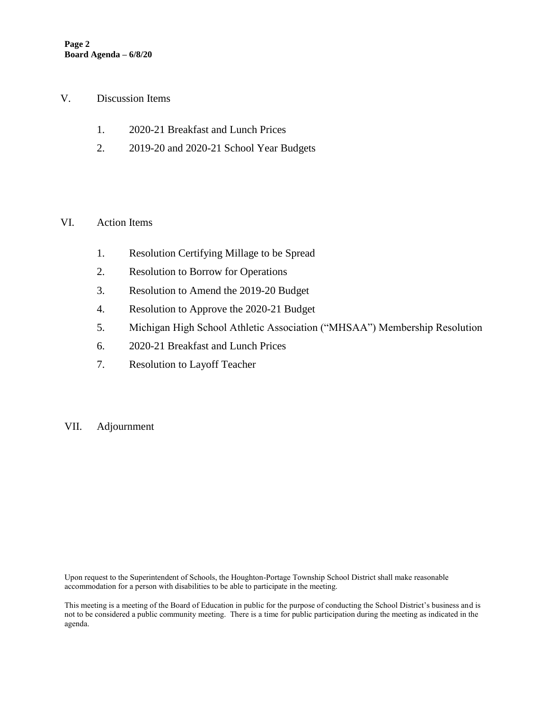#### V. Discussion Items

- 1. 2020-21 Breakfast and Lunch Prices
- 2. 2019-20 and 2020-21 School Year Budgets

### VI. Action Items

- 1. Resolution Certifying Millage to be Spread
- 2. Resolution to Borrow for Operations
- 3. Resolution to Amend the 2019-20 Budget
- 4. Resolution to Approve the 2020-21 Budget
- 5. Michigan High School Athletic Association ("MHSAA") Membership Resolution
- 6. 2020-21 Breakfast and Lunch Prices
- 7. Resolution to Layoff Teacher
- VII. Adjournment

Upon request to the Superintendent of Schools, the Houghton-Portage Township School District shall make reasonable accommodation for a person with disabilities to be able to participate in the meeting.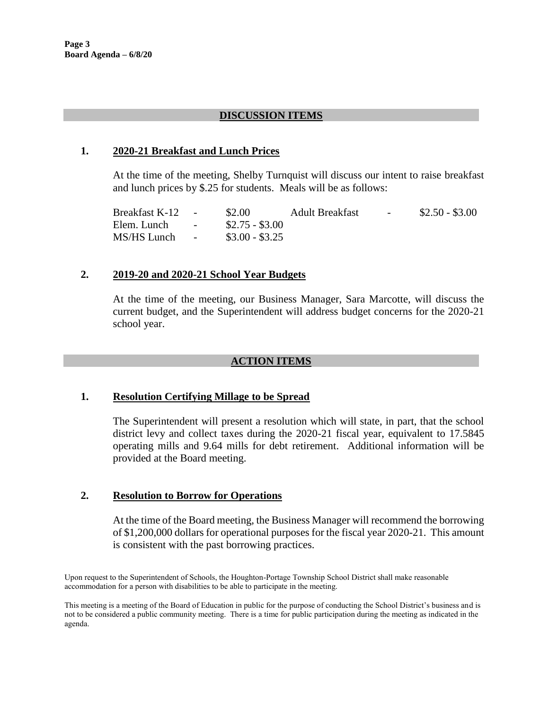### **DISCUSSION ITEMS**

#### **1. 2020-21 Breakfast and Lunch Prices**

At the time of the meeting, Shelby Turnquist will discuss our intent to raise breakfast and lunch prices by \$.25 for students. Meals will be as follows:

Breakfast K-12 - \$2.00 Adult Breakfast - \$2.50 - \$3.00 Elem. Lunch - \$2.75 - \$3.00 MS/HS Lunch - \$3.00 - \$3.25

#### **2. 2019-20 and 2020-21 School Year Budgets**

At the time of the meeting, our Business Manager, Sara Marcotte, will discuss the current budget, and the Superintendent will address budget concerns for the 2020-21 school year.

#### **ACTION ITEMS**

#### **1. Resolution Certifying Millage to be Spread**

The Superintendent will present a resolution which will state, in part, that the school district levy and collect taxes during the 2020-21 fiscal year, equivalent to 17.5845 operating mills and 9.64 mills for debt retirement. Additional information will be provided at the Board meeting.

#### **2. Resolution to Borrow for Operations**

At the time of the Board meeting, the Business Manager will recommend the borrowing of \$1,200,000 dollars for operational purposes for the fiscal year 2020-21. This amount is consistent with the past borrowing practices.

Upon request to the Superintendent of Schools, the Houghton-Portage Township School District shall make reasonable accommodation for a person with disabilities to be able to participate in the meeting.